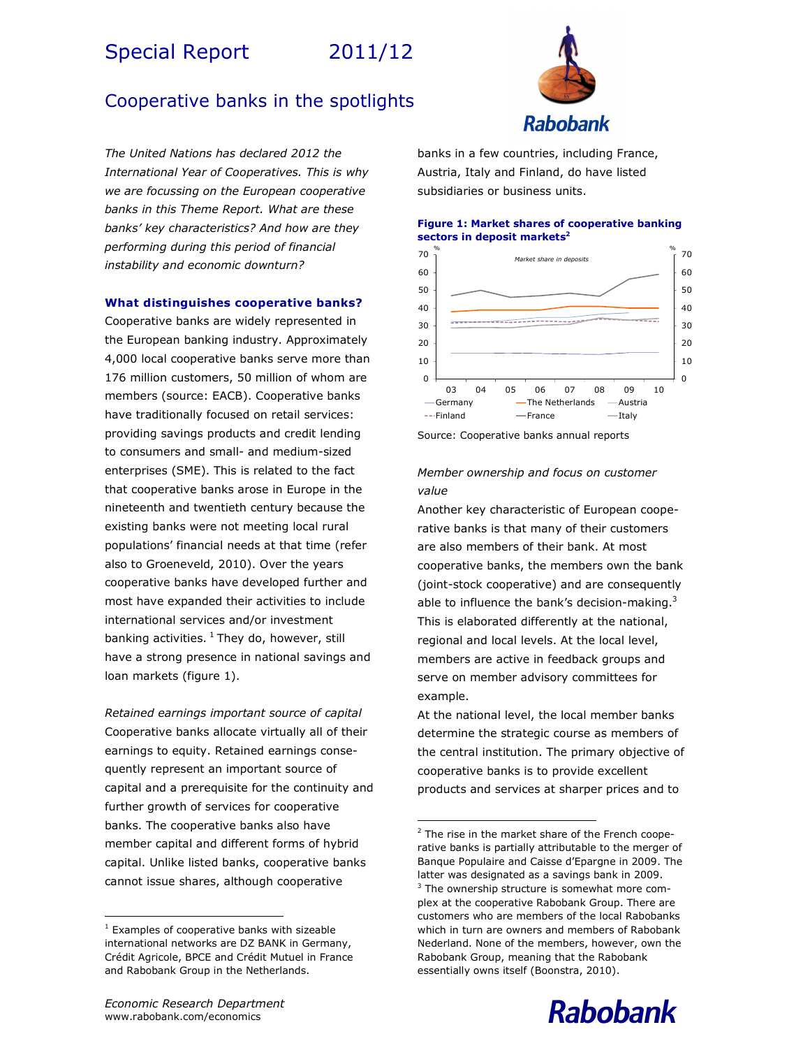# Special Report 2011/12

# Cooperative banks in the spotlights

The United Nations has declared 2012 the International Year of Cooperatives. This is why we are focussing on the European cooperative banks in this Theme Report. What are these banks' key characteristics? And how are they performing during this period of financial instability and economic downturn?

# What distinguishes cooperative banks?

Cooperative banks are widely represented in the European banking industry. Approximately 4,000 local cooperative banks serve more than 176 million customers, 50 million of whom are members (source: EACB). Cooperative banks have traditionally focused on retail services: providing savings products and credit lending to consumers and small- and medium-sized enterprises (SME). This is related to the fact that cooperative banks arose in Europe in the nineteenth and twentieth century because the existing banks were not meeting local rural populations' financial needs at that time (refer also to Groeneveld, 2010). Over the years cooperative banks have developed further and most have expanded their activities to include international services and/or investment banking activities.  $1$  They do, however, still have a strong presence in national savings and loan markets (figure 1).

Retained earnings important source of capital Cooperative banks allocate virtually all of their earnings to equity. Retained earnings consequently represent an important source of capital and a prerequisite for the continuity and further growth of services for cooperative banks. The cooperative banks also have member capital and different forms of hybrid capital. Unlike listed banks, cooperative banks cannot issue shares, although cooperative



banks in a few countries, including France, Austria, Italy and Finland, do have listed subsidiaries or business units.

# Figure 1: Market shares of cooperative banking sectors in deposit markets<sup>2</sup>



Source: Cooperative banks annual reports

# Member ownership and focus on customer value

Another key characteristic of European cooperative banks is that many of their customers are also members of their bank. At most cooperative banks, the members own the bank (joint-stock cooperative) and are consequently able to influence the bank's decision-making. $3$ This is elaborated differently at the national, regional and local levels. At the local level, members are active in feedback groups and serve on member advisory committees for example.

At the national level, the local member banks determine the strategic course as members of the central institution. The primary objective of cooperative banks is to provide excellent products and services at sharper prices and to

-

 $\overline{a}$ 



<sup>1</sup> Examples of cooperative banks with sizeable international networks are DZ BANK in Germany, Crédit Agricole, BPCE and Crédit Mutuel in France and Rabobank Group in the Netherlands.

<sup>&</sup>lt;sup>2</sup> The rise in the market share of the French cooperative banks is partially attributable to the merger of Banque Populaire and Caisse d'Epargne in 2009. The latter was designated as a savings bank in 2009. <sup>3</sup> The ownership structure is somewhat more complex at the cooperative Rabobank Group. There are customers who are members of the local Rabobanks which in turn are owners and members of Rabobank Nederland. None of the members, however, own the Rabobank Group, meaning that the Rabobank essentially owns itself (Boonstra, 2010).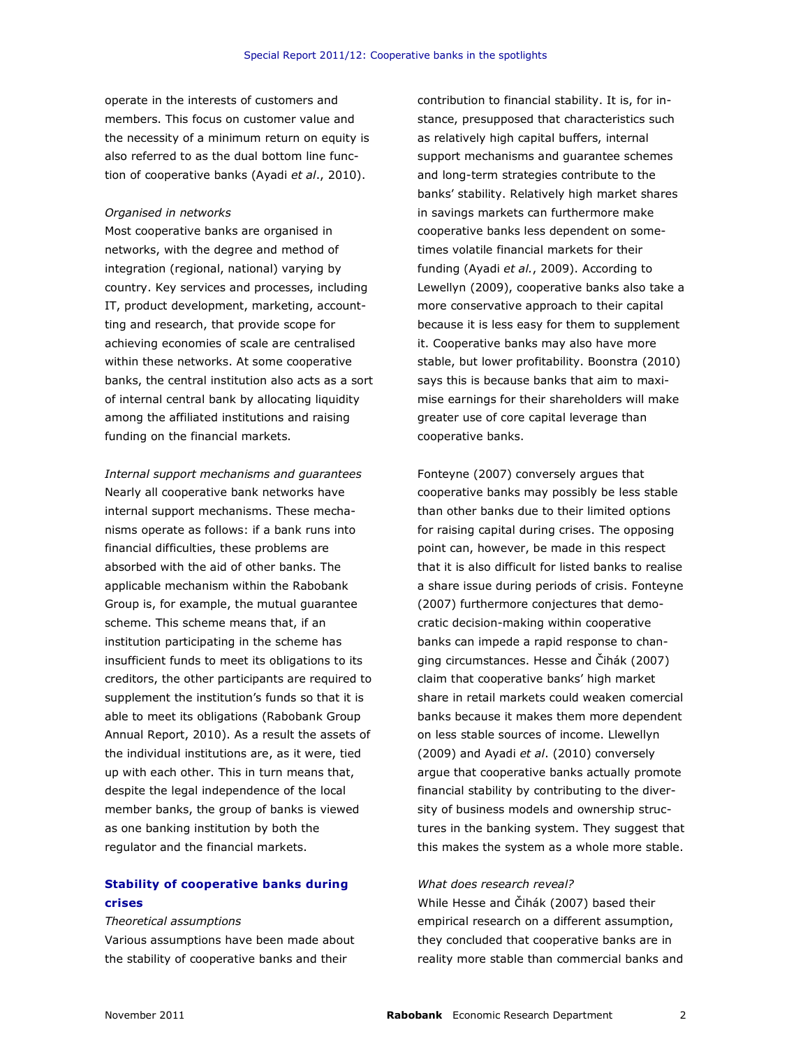operate in the interests of customers and members. This focus on customer value and the necessity of a minimum return on equity is also referred to as the dual bottom line function of cooperative banks (Ayadi et al., 2010).

#### Organised in networks

Most cooperative banks are organised in networks, with the degree and method of integration (regional, national) varying by country. Key services and processes, including IT, product development, marketing, accountting and research, that provide scope for achieving economies of scale are centralised within these networks. At some cooperative banks, the central institution also acts as a sort of internal central bank by allocating liquidity among the affiliated institutions and raising funding on the financial markets.

Internal support mechanisms and guarantees Nearly all cooperative bank networks have internal support mechanisms. These mechanisms operate as follows: if a bank runs into financial difficulties, these problems are absorbed with the aid of other banks. The applicable mechanism within the Rabobank Group is, for example, the mutual guarantee scheme. This scheme means that, if an institution participating in the scheme has insufficient funds to meet its obligations to its creditors, the other participants are required to supplement the institution's funds so that it is able to meet its obligations (Rabobank Group Annual Report, 2010). As a result the assets of the individual institutions are, as it were, tied up with each other. This in turn means that, despite the legal independence of the local member banks, the group of banks is viewed as one banking institution by both the regulator and the financial markets.

# Stability of cooperative banks during crises

# Theoretical assumptions

Various assumptions have been made about the stability of cooperative banks and their

contribution to financial stability. It is, for instance, presupposed that characteristics such as relatively high capital buffers, internal support mechanisms and guarantee schemes and long-term strategies contribute to the banks' stability. Relatively high market shares in savings markets can furthermore make cooperative banks less dependent on sometimes volatile financial markets for their funding (Ayadi et al., 2009). According to Lewellyn (2009), cooperative banks also take a more conservative approach to their capital because it is less easy for them to supplement it. Cooperative banks may also have more stable, but lower profitability. Boonstra (2010) says this is because banks that aim to maximise earnings for their shareholders will make greater use of core capital leverage than cooperative banks.

Fonteyne (2007) conversely argues that cooperative banks may possibly be less stable than other banks due to their limited options for raising capital during crises. The opposing point can, however, be made in this respect that it is also difficult for listed banks to realise a share issue during periods of crisis. Fonteyne (2007) furthermore conjectures that democratic decision-making within cooperative banks can impede a rapid response to changing circumstances. Hesse and Čihák (2007) claim that cooperative banks' high market share in retail markets could weaken comercial banks because it makes them more dependent on less stable sources of income. Llewellyn (2009) and Ayadi et al. (2010) conversely argue that cooperative banks actually promote financial stability by contributing to the diversity of business models and ownership structures in the banking system. They suggest that this makes the system as a whole more stable.

#### What does research reveal?

While Hesse and Čihák (2007) based their empirical research on a different assumption, they concluded that cooperative banks are in reality more stable than commercial banks and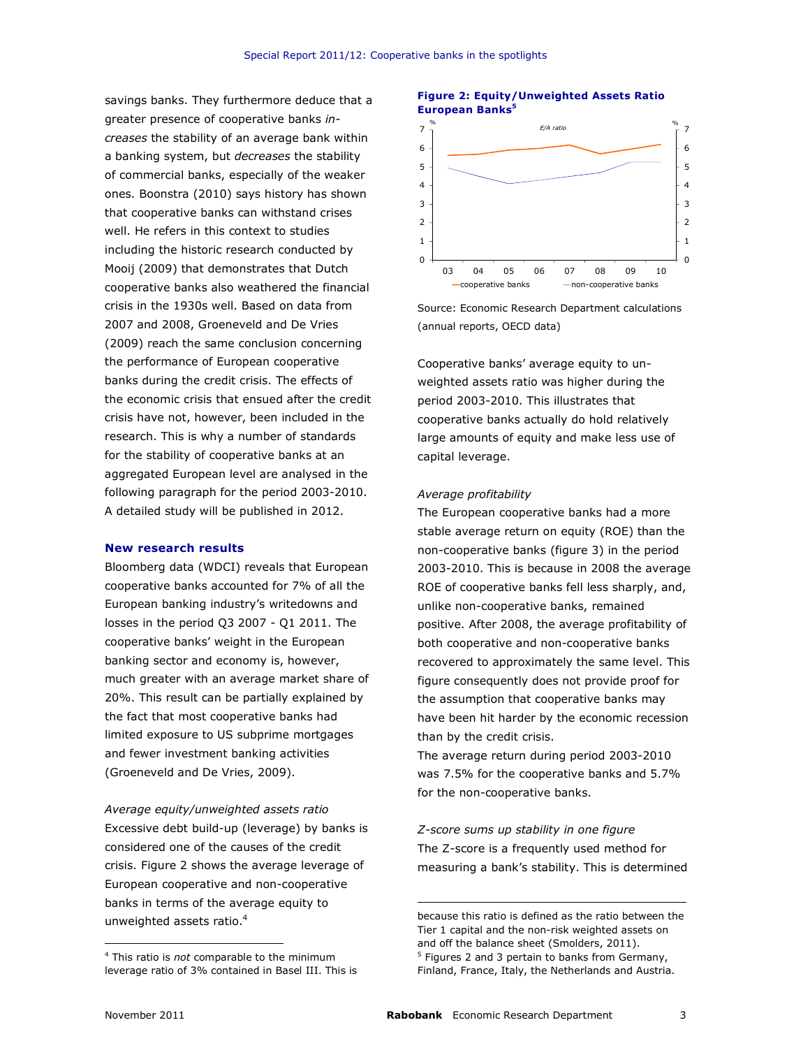savings banks. They furthermore deduce that a greater presence of cooperative banks increases the stability of an average bank within a banking system, but *decreases* the stability of commercial banks, especially of the weaker ones. Boonstra (2010) says history has shown that cooperative banks can withstand crises well. He refers in this context to studies including the historic research conducted by Mooij (2009) that demonstrates that Dutch cooperative banks also weathered the financial crisis in the 1930s well. Based on data from 2007 and 2008, Groeneveld and De Vries (2009) reach the same conclusion concerning the performance of European cooperative banks during the credit crisis. The effects of the economic crisis that ensued after the credit crisis have not, however, been included in the research. This is why a number of standards for the stability of cooperative banks at an aggregated European level are analysed in the following paragraph for the period 2003-2010. A detailed study will be published in 2012.

#### New research results

Bloomberg data (WDCI) reveals that European cooperative banks accounted for 7% of all the European banking industry's writedowns and losses in the period Q3 2007 - Q1 2011. The cooperative banks' weight in the European banking sector and economy is, however, much greater with an average market share of 20%. This result can be partially explained by the fact that most cooperative banks had limited exposure to US subprime mortgages and fewer investment banking activities (Groeneveld and De Vries, 2009).

Average equity/unweighted assets ratio Excessive debt build-up (leverage) by banks is considered one of the causes of the credit crisis. Figure 2 shows the average leverage of European cooperative and non-cooperative banks in terms of the average equity to unweighted assets ratio.<sup>4</sup>

## Figure 2: Equity/Unweighted Assets Ratio European Banks<sup>5</sup>



Source: Economic Research Department calculations (annual reports, OECD data)

Cooperative banks' average equity to unweighted assets ratio was higher during the period 2003-2010. This illustrates that cooperative banks actually do hold relatively large amounts of equity and make less use of capital leverage.

#### Average profitability

The European cooperative banks had a more stable average return on equity (ROE) than the non-cooperative banks (figure 3) in the period 2003-2010. This is because in 2008 the average ROE of cooperative banks fell less sharply, and, unlike non-cooperative banks, remained positive. After 2008, the average profitability of both cooperative and non-cooperative banks recovered to approximately the same level. This figure consequently does not provide proof for the assumption that cooperative banks may have been hit harder by the economic recession than by the credit crisis.

The average return during period 2003-2010 was 7.5% for the cooperative banks and 5.7% for the non-cooperative banks.

Z-score sums up stability in one figure The Z-score is a frequently used method for measuring a bank's stability. This is determined

because this ratio is defined as the ratio between the Tier 1 capital and the non-risk weighted assets on and off the balance sheet (Smolders, 2011). <sup>5</sup> Figures 2 and 3 pertain to banks from Germany, Finland, France, Italy, the Netherlands and Austria.

 $\overline{a}$ 

-

<sup>&</sup>lt;sup>4</sup> This ratio is not comparable to the minimum leverage ratio of 3% contained in Basel III. This is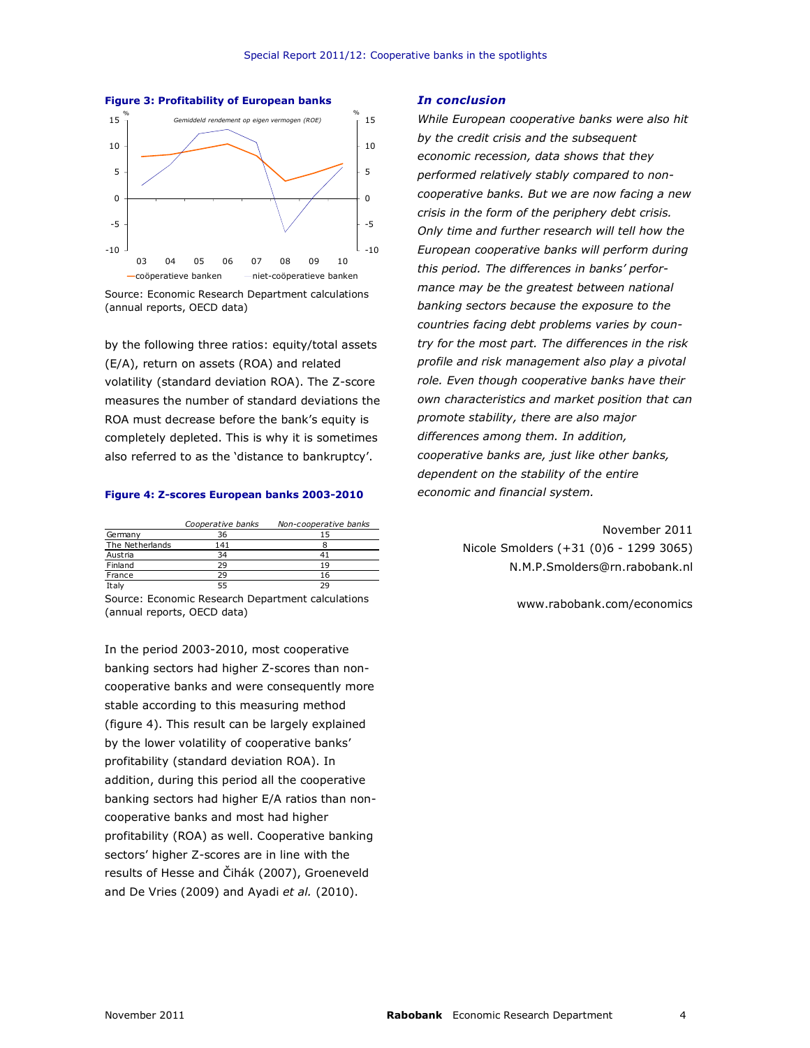



Source: Economic Research Department calculations (annual reports, OECD data)

by the following three ratios: equity/total assets (E/A), return on assets (ROA) and related volatility (standard deviation ROA). The Z-score measures the number of standard deviations the ROA must decrease before the bank's equity is completely depleted. This is why it is sometimes also referred to as the 'distance to bankruptcy'.

#### Figure 4: Z-scores European banks 2003-2010

|                 | Cooperative banks | Non-cooperative banks |
|-----------------|-------------------|-----------------------|
| Germany         | 36                |                       |
| The Netherlands | 141               |                       |
| Austria         | 34                |                       |
| Finland         | つロ                | 10                    |
| France          | 29                | 16                    |
| Italv           |                   |                       |

Source: Economic Research Department calculations (annual reports, OECD data)

In the period 2003-2010, most cooperative banking sectors had higher Z-scores than noncooperative banks and were consequently more stable according to this measuring method (figure 4). This result can be largely explained by the lower volatility of cooperative banks' profitability (standard deviation ROA). In addition, during this period all the cooperative banking sectors had higher E/A ratios than noncooperative banks and most had higher profitability (ROA) as well. Cooperative banking sectors' higher Z-scores are in line with the results of Hesse and Čihák (2007), Groeneveld and De Vries (2009) and Ayadi et al. (2010).

#### In conclusion

While European cooperative banks were also hit by the credit crisis and the subsequent economic recession, data shows that they performed relatively stably compared to noncooperative banks. But we are now facing a new crisis in the form of the periphery debt crisis. Only time and further research will tell how the European cooperative banks will perform during this period. The differences in banks' performance may be the greatest between national banking sectors because the exposure to the countries facing debt problems varies by country for the most part. The differences in the risk profile and risk management also play a pivotal role. Even though cooperative banks have their own characteristics and market position that can promote stability, there are also major differences among them. In addition, cooperative banks are, just like other banks, dependent on the stability of the entire economic and financial system.

> November 2011 Nicole Smolders (+31 (0)6 - 1299 3065) N.M.P.Smolders@rn.rabobank.nl

> > www.rabobank.com/economics